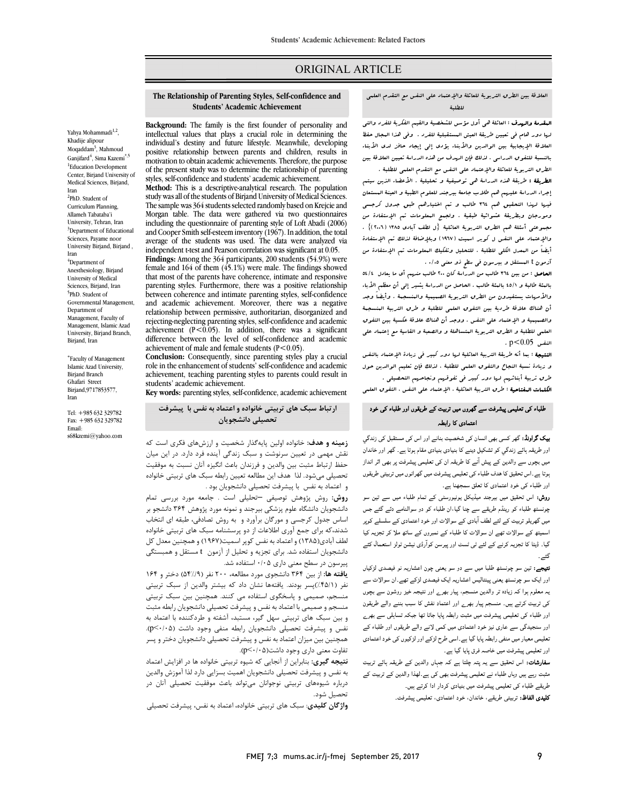# ORIGINAL ARTICLE

العلاقۀ بین الطرق التربویۀ للعائلۀ والإعتماد على النفس مع التقدم العلمی<br>العلاقۀ بین الطرق التربویۀ للعالما للطلبۀ

Ī  $\overline{a}$ 

ا**لبقدمۀ والهدف :** العائلۀ ه<sub>ی</sub> أول مؤسس للشخصیۀ والقیم الفکریۀ للفرد والت<sub>ی</sub> لها دور هام فی تعیین طریقۀ العیش المستقبلیۀ للفرد . وفی هذا المجال حفظ العلاقۀ الإیجابیۀ بین الوالدین والأبناء یؤدي إلى إیجاد حافز لدى الأبناء بالنسبۀ للتفوق الدراسی . لذلک فإن الهدف من هذه الدراسۀ تعیین العلاقۀ بین

 الطرق التربویۀ للعائلۀ والإعتماد على النفس مع التقدم العلمی للطلبۀ . **الطریقۀ :** طریقۀ هذه الدراسۀ هی توصیفیۀ و تحلیلیۀ . الأعضاء الذین سیتم<br>در مسیح به تصویر الفصیل الفصیل و تحلیل الفصیل الفصیل الفصیل الفصیل م بھا التحاد التحقیق هم علاق بعد بعد بھی تم ان التحقیق التحقیق جدول کرجسی<br>فیرا لریڈا التحقیق هم ٦٢٤ طالب و تم اختیارهم طبق جدول کرجسی ومورجان وبطریقۀ عشوائیۀ طبقیۀ . ولجمع المعلومات تم الإستفادة من مجموعتی أسئلۀ هم الطرق التربویۀ العائلیۀ {ل لطف آبادی ١٣٨٥ (٢..٦)} . والإعتماد على النفس ل کوبر اسمیت (1967) وبلإضافۀ لذلک تم الإستفادة أیضاً من البعدل الکلی للطلبۀ . للتحلیل وتفکیك البعلومات تم الإستفادة من<br>ت إجراء الدراسۀ علیهم هم طلاب جامعۀ بیرجند للعلوم الطبیۀ و العینۀ المستعان آزمون t المستقل و بیرسون فی سطح ذو معنى 0/05 .

الحاصل المستشفات و بین دست کی جسیح کلیست.<br>**الحاصل :** من بین 714 طالب من الدراسة کان 700 طالب منهم أي ما یعادل -64/4 بالمئۀ طالبۀ و 45/1 بالمئۀ طالب . الحاصل من الدراسۀ یشیر إلى أن معظم الأباء والأمهات یستفیدون من الطرق التربویۀ الصمیمیۀ والمنسجمۀ . وأیضاً وجد أن هناك علاقۀ طردیۀ بین التفوق العلمی للطلبۀ و طرق التربیۀ المنسجمۀ والصبيبيۀ و الإعتماد على النفس . ووجد أن هناك علاقۀ عکسيۀ بين التفوق<br>سد سداد و سدال سدد على التفسيخ علاقات علاقۀ التفسيخ العلمی للطلبۀ و الطرق التربویۀ المتساهلۀ و والصعبۀ و القاسیۀ مع إعتماد على<br>n<0 (0 ( n<0 (0 )  $p < 0.05$  . p  $< 0.05$ 

 النتیجۀ : بما أنه طریقۀ التربیۀ العائلیۀ لها دور کبیر فی زیادة الإعتماد بالنفس و زیادة نسبۀ النجاح والتفوق العلمی للطلبۀ ، لذلک فإن تعلیم الوالدین حول طرق تربیۀ أبنائهم لها دور کبیر فی تفوقهم ونجاحهم التحصیلی .

**الكلمات المفتاحیۀ** : طرق التربیۀ العائلیۀ ، الإعتماد على النفس ، التفوق العلمی<br>-

# طلباء کی تعلیمی پیشرفت سے گھروں میں تربیت کے طریقوں اور طلباء کی خود اعتمادی کا رابطہ

**بیک گراونڈ:** گھر کسی بھی انسان کی شخصیت بنانے اور اس کی مستقبل کی زندگی اور طریقہ ہائے زندگي کو تشکیل دینے کا بنیادی بنیادی مقام ہوتا ہے۔ گھر اور خاندان میں بچوں سے والدین کے پیش آنے کا طریقہ ان کی تعلیمی پیشرفت پر بھی اثر انداز ہوتا ہے ۔اس تحقیق کا هدف طلباء کی تعلیمی پیشرفت میں گھرانوں میں تربیتی طریقوں<br>۔ اور طلباء کی خود اعتمادی کا تعلق سمجهنا ہے۔

<sub>اقر</sub> صباء <sub>کی</sub> خود اسمادی تا تعلق سمجھتا ہے۔<br>**روش:** اس تحقیق میں بیرجند میڈیکل یونیورسٹی کے تمام طلباء میں سے تین سو عدی کے سامنے کے ساتھ میں میں ہوتے ہیں۔<br>چونسٹھ طلباء کو رینڈم طریقے سے چنا گیا،ان طلباء کو دو سوالنامے دئے گئے جس میں گھریلو تربیت کے لئے لطف آبادی کے سوالات اور خود اعتمادی کے سلسلے کوپر اسمیتھ کے سوالات تھے ان سوالات کا طلباء کے نمبروں کے ساتھ ملا کر تجزیہ کیا گیا۔ ڈیٹا کا تجزیہ کرنے کے لئے ٹی ٹسٹ اور پیرسن کوآرڈی نیشن ٹولز استعمال کئے گئے.

نثے۔<br>ل**تیجے:** تین سو چونسٹھ طلبا میں سے دو سو یعنی چون اعشاریہ نو فیصدی لڑکیاں معینی، میں سو پوسسہ حب میں سے در سو یعنی پون احساریہ تو میںمندی ترمیان<br>اور ایک سو چونسٹھ یعنی پینتالیس اعشاریہ ایک فیصدی لڑکے تھے۔ان سوالات سے ۔<br>یہ معلوم ہوا کہ زیادہ تر والدین منسجم، پیار بھر<sub>ے</sub> اور نتیجہ خیز روشون سے بچوں کی تربیت کرتے ہیں۔ منسجم پیار بھر<sub>ے</sub> اور اعتماد نفش کا سبب بننے والے طریقون اور طلباء کی تعلیمی پیشرفت میں مثبت رابطہ پایا جاتا تھا جبکہ تساہلی سے بھرے اور سنجیدگی سے عاری نیز خود اعتمادی میں کمی لانے والے طریقوں اور طلباء کے<br>۔ تعلیمی معیار میں منفی رابطہ پایا گیا ہے۔اسی طرح لڑکے اور لڑکیوں کی خود اعتمادی<br>، اور تعلیمی پیشرفت میں خاصہ فرق پایا گیا ہے۔

ر کی میڈی پیس سے سے میں سے ہیں ہے۔<br>**سفارشات:** اس تحقیق سے یہ پتہ چلتا ہے کہ جہاں والدین کے طریقہ ہائے تربیت ۔<br>مثبت رہے ہیں وہاں طلباء نے تعلیمی پیشرفت بھی کی ہے۔لھذا والدین کے تربیت کے طریقے طلباء کی تعلیمی پیشرفت میں بنیادی کردار ادا کرتے ہیں۔ **کلیدی الفاظ:** تربیتی طریقے، خاندان، خود اعتمادی، تعلیمی پیشرفت<sub>-</sub>

 **The Relationship of Parenting Styles, Self-confidence and Students' Academic Achievement**

Ī  $\overline{a}$ 

И<br>Р ļ positive relationship between parents and emitted, results in motivation to obtain academic achievements. Therefore, the purpose of the present study was to determine the relationship of parenting **Background:** The family is the first founder of personality and intellectual values that plays a crucial role in determining the individual's destiny and future lifestyle. Meanwhile, developing positive relationship between parents and children, results in styles, self-confidence and students' academic achievement.

 **Method:** This is a descriptive-analytical research. The population study was all of the students of Birjand University of Medical Sciences. Morgan table. The data were gathered via two questionnaires including the questionnaire of parenting style of Loft Abadi (2006)<br>and Cooper Smith self esteem inventory (1967). In addition, the total average of the students was used. The data were analyzed via The sample was 364 students selected randomly based on Krejcie and and Cooper Smith self-esteem inventory (1967). In addition, the total independent t-test and Pearson correlation was significant at 0.05.

 **Findings:** Among the 364 participants, 200 students (54.9%) were female and 164 of them (45.1%) were male. The findings showed parenting styles. Furthermore, there was a positive relationship between coherence and intimate parenting styles, self-confidence relationship between permissive, authoritarian, disorganized and rejecting-neglecting parenting styles, self-confidence and academic<br>exhigrance ( $R \le 0.05$ ). In addition, there we a significant difference between the level of self-confidence and academic that most of the parents have coherence, intimate and responsive and academic achievement. Moreover, there was a negative achievement  $(P < 0.05)$ . In addition, there was a significant achievement of male and female students  $(P<0.05)$ .

 **Conclusion:** Consequently, since parenting styles play a crucial role in the enhancement of students' self-confidence and academic achievement, teaching parenting styles to parents could result in<br>students' academic achievement. students' academic achievement.

**Key words:** parenting styles, self-confidence, academic achievement

 **ارتباط سبک هاي تربیتی خانواده و اعتماد به نفس با پیشرفت تحصیلی دانشجویان**

 **زمینه و هدف:** خانواده اولین پایهگذار شخصیت و ارزشهاي فکري است که رمینه و معت صورت وین پیامتار ساختیت و ارزش می صوری است ک<br>نقش مهمی در تعیین سرنوشت و سبک زندگی آینده فرد دارد. در این میان حفظ ارتباط مثبت بین والدین و فرزندان باعث انگیزه آنان نسبت به موفقیت تحصیلی میشود. لذا هدف این مطالعه تعیین رابطه سبک هاي تربیتی خانواده و اعتماد به نفس با پیشرفت تحصیلی دانشجویان بود .

 دانشجویان دانشگاه علوم پزشکی بیرجند و نمونه مورد پژوهش 364 دانشجو بر اساس جدول کرجسی و مورگان برآورد و به روش تصادفی، طبقه اي انتخاب شدند،که براي جمع آوري اطلاعات از دو پرسشنامه سبک هاي تربیتی خانواده نقش آودی(۱۱۸۵ ) و اعتماد به نقش توپر اسمیت(۱۲۰۲ ) و ممچنین معدل تل<br>دانشجویان استفاده شد. برای تجزیه و تحلیل از آزمون t مستقل و همبستگی پیرسون در سطح معنی داري 0/05 استفاده شد. **روش:** روش پژوهش توصیفی –تحلیلی است . جامعه مورد بررسی تمام لطف آبادي(1385) و اعتماد به نفس کوپر اسمیت(1967) و همچنین معدل کل

 **یافته ها:** از بین 364 دانشجوي مورد مطالعه، 200 نفر (54%/9) دختر و 164 نفر (%45/1)پسر بودند. یافتهها نشان داد که بیشتر والدین از سبک تربیتی منسجم. تسمیمی و پستحوی استفاده می حسد ممکنیتین بین سبت تربیعی<br>منسجم و صمیمی با اعتماد به نفس و پیشرفت تحصیلی دانشجویان رابطه مثبت و بین سبک هاي تربیتی سهل گیر، مستبد، آشفته و طردکننده با اعتماد به نفس و پیشرفت تحصیلی دانشجویان رابطه منفی وجود داشت (0/05>p(. همچنین بین میزان اعتماد به نفس و پیشرفت تحصیلی دانشجویان دختر و پسر منسجم، صمیمی و پاسخگوي استفاده می کنند. همچنین بین سبک تربیتی تفاوت معنی داري وجود داشت(0/05>p(.

 **نتیجه گیري:** بنابراین از آنجایی که شیوه تربیتی خانواده ها در افزایش اعتماد به نفس و پیشرفت تحصیلی دانشجویان اهمیت بسزایی دارد لذا آموزش والدین درباره شیوههاي تربیتی نوجوانان میتواند باعث موفقیت تحصیلی آنان در تحصیل شود.

**واژگان کلیدي**: سبک هاي تربیتی خانواده، اعتماد به نفس، پیشرفت تحصیلی

Ganjifard<sup>4</sup>, Sima Kazemi<sup>\*,5</sup> 1 Education Development Center, Birjand University of Medical Sciences, Birjand, <sup>2</sup>PhD. Student of Curriculum Planning, Allameh Tabataba'i University, Tehran, Iran <sup>3</sup>Department of Educational Sciences, Payame noor University Birjand, Birjand , 4 Department of Anesthesiology, Birjand University of Medical Sciences, Birjand, Iran

5 PhD. Student of Governmental Management, Department of Management, Faculty of Management, Islamic Azad University, Birjand Branch, Birjand, Iran

Yahya Mohammadi<sup>1,2</sup> Khadije alipour Moqaddam<sup>3</sup>, Mahmoud

Iran

Iran

 Faculty of Management Islamic Azad University, Birjand Branch Ghafari Street Birjand,9717853577, Iran

Tel: +985 632 329782 Fax: +985 632 329782 Email: s68kzemi@yahoo.com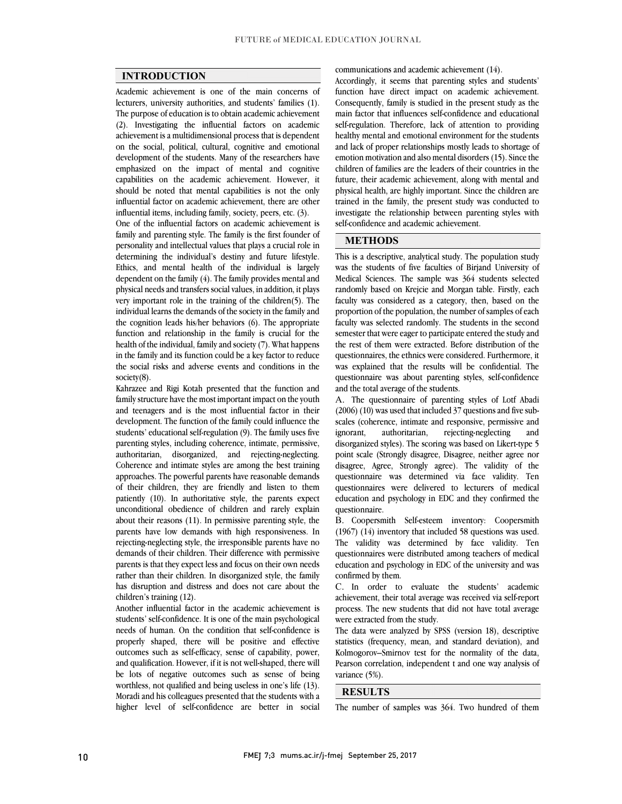## **INTRODUCTION**

 Academic achievement is one of the main concerns of lecturers, university authorities, and students' families (1). The purpose of education is to obtain academic achievement achievement is a multidimensional process that is dependent on the social, political, cultural, cognitive and emotional development of the students. Many of the researchers have emphasized on the impact of mental and cognitive should be noted that mental capabilities is not the only influential factor on academic achievement, there are other (2). Investigating the influential factors on academic capabilities on the academic achievement. However, it influential items, including family, society, peers, etc. (3).

 One of the influential factors on academic achievement is personality and intellectual values that plays a crucial role in determining the individual's destiny and future lifestyle. Ethics, and mental health of the individual is largely dependent on the family (4). The family provides mental and very important role in the training of the children(5). The individual learns the demands of the society in the family and the cognition leads his/her behaviors (6). The appropriate function and relationship in the family is crucial for the<br>harder family in the family and a state  $\left(7\right)$ . What has a see in the family and its function could be a key factor to reduce the social risks and adverse events and conditions in the family and parenting style. The family is the first founder of physical needs and transfers social values, in addition, it plays health of the individual, family and society (7). What happens society(8).

Kamazec and high Rotan presented that the function and<br>family structure have the most important impact on the youth and teenagers and is the most influential factor in their development. The function of the family could influence the students' educational self-regulation (9). The family uses five authoritarian, disorganized, and rejecting-neglecting. Coherence and intimate styles are among the best training approaches. The powerful parents have reasonable demands of their children, they are friendly and listen to them patiently (10). In authoritance style, the patents expect<br>unconditional obedience of children and rarely explain about their reasons (11). In permissive parenting style, the parents have low demands with high responsiveness. In rejecting-neglecting style, the irresponsible parents have no parents is that they expect less and focus on their own needs rather than their children. In disorganized style, the family has disruption and distress and does not care about the Kahrazee and Rigi Kotah presented that the function and parenting styles, including coherence, intimate, permissive, patiently (10). In authoritative style, the parents expect demands of their children. Their difference with permissive children's training (12).

 Another influential factor in the academic achievement is students' self-confidence. It is one of the main psychological needs of human. On the condition that self-confidence is properly shaped, there will be positive and effective and qualification. However, if it is not well-shaped, there will be lots of negative outcomes such as sense of being worthless, not qualified and being useless in one's life (13). Moradi and his colleagues presented that the students with a higher level of self-confidence are better in social outcomes such as self-efficacy, sense of capability, power,

communications and academic achievement (14).

 Accordingly, it seems that parenting styles and students' function have direct impact on academic achievement. Consequently, family is studied in the present study as the main factor that influences self-confidence and educational healthy mental and emotional environment for the students and lack of proper relationships mostly leads to shortage of emotion motivation and also mental disorders (15). Since the children of families are the leaders of their countries in the physical health, are highly important. Since the children are trained in the family, the present study was conducted to investigate the relationship between parenting styles with self-regulation. Therefore, lack of attention to providing future, their academic achievement, along with mental and self-confidence and academic achievement.

# **METHODS**

 This is a descriptive, analytical study. The population study was the students of five faculties of Birjand University of medical sciences. The sample was 504 students selected<br>randomly based on Krejcie and Morgan table. Firstly, each faculty was considered as a category, then, based on the proportion of the population, the number of samples of each faculty was selected randomly. The students in the second semester that were eager to participate entered the study and<br>the rest of them were extracted. Before distribution of the questionnaires, the ethnics were considered. Furthermore, it was explained that the results will be confidential. The questionnaire was about parenting styles, self-confidence Medical Sciences. The sample was 364 students selected semester that were eager to participate entered the study and and the total average of the students.

 A. The questionnaire of parenting styles of Lotf Abadi  $(2006)$   $(10)$  was used that included 37 questions and five sub- scales (coherence, intimate and responsive, permissive and and point scale (Strongly disagree, Disagree, neither agree nor disagree, Agree, Strongly agree). The validity of the questionnaire was determined via face validity. Ten questionnaires were delivered to lecturers of medical education and psychology in EDC and they confirmed the ignorant, authoritarian, rejecting-neglecting disorganized styles). The scoring was based on Likert-type 5 questionnaire.

 B. Coopersmith Self-esteem inventory: Coopersmith (1967) (14) inventory that included 58 questions was used. The validity was determined by face validity. Ten education and psychology in EDC of the university and was questionnaires were distributed among teachers of medical confirmed by them.

 C. In order to evaluate the students' academic ا ا<br>ما process. The new students that did not have total average<br>were extracted from the study. achievement, their total average was received via self-report were extracted from the study.

 The data were analyzed by SPSS (version 18), descriptive statistics (frequency, mean, and standard deviation), and י.<br>וי Pearson correlation, independent t and one way analysis of<br>variance (5%). Kolmogorov–Smirnov test for the normality of the data, variance (5%).

### **RESULTS**

I The number of samples was 364. Two hundred of them

I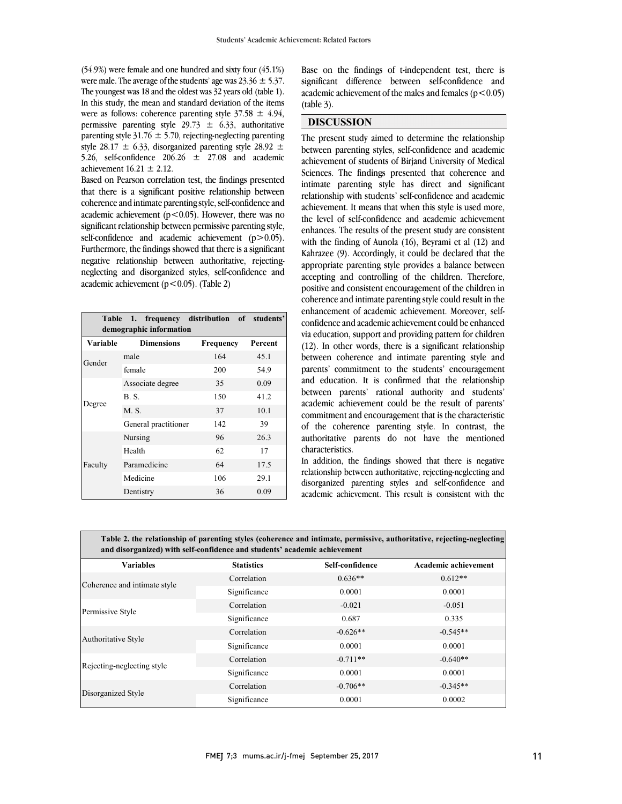$(34.9\%)$  were lemale and one nundred and sixty lour  $(45.1\%)$ <br>were male. The average of the students' age was  $23.36 \pm 5.37$ . The youngest was 18 and the oldest was 32 years old (table 1). In this study, the mean and standard deviation of the items were as follows: coherence parenting style  $37.58 \pm 4.94$ , permissive parenting style  $25.75 \pm 0.55$ , additionally<br>parenting style  $31.76 \pm 5.70$ , rejecting-neglecting parenting style 28.17  $\pm$  6.33, disorganized parenting style 28.92  $\pm$ 5.26, self-confidence  $206.26 \pm 27.08$  and academic (54.9%) were female and one hundred and sixty four (45.1%) permissive parenting style 29.73  $\pm$  6.33, authoritative achievement  $16.21 \pm 2.12$ .

based on Fearson correlation test, the lineings presented that there is a significant positive relationship between coherence and intimate parenting style, self-confidence and academic achievement (p<0.05). However, there was no significant relationship between permissive parenting style, self-confidence and academic achievement  $(p>0.05)$ . negative relationship between authoritative, rejecting- neglecting and disorganized styles, self-confidence and Based on Pearson correlation test, the findings presented Furthermore, the findings showed that there is a significant academic achievement ( $p < 0.05$ ). (Table 2)

| Table 1. frequency distribution of students'<br>demographic information |                      |                  |         |  |  |  |  |  |  |
|-------------------------------------------------------------------------|----------------------|------------------|---------|--|--|--|--|--|--|
| Variable                                                                | <b>Dimensions</b>    | <b>Frequency</b> | Percent |  |  |  |  |  |  |
| Gender                                                                  | male                 | 164              | 45.1    |  |  |  |  |  |  |
|                                                                         | female               | 200              | 54.9    |  |  |  |  |  |  |
| Degree                                                                  | Associate degree     | 35               | 0.09    |  |  |  |  |  |  |
|                                                                         | B. S.                | 150              | 41.2    |  |  |  |  |  |  |
|                                                                         | M. S.                | 37               | 10.1    |  |  |  |  |  |  |
|                                                                         | General practitioner | 142              | 39      |  |  |  |  |  |  |
| Faculty                                                                 | Nursing              | 96               | 26.3    |  |  |  |  |  |  |
|                                                                         | Health               | 62               | 17      |  |  |  |  |  |  |
|                                                                         | Paramedicine         | 64               | 17.5    |  |  |  |  |  |  |
|                                                                         | Medicine             | 106              | 29.1    |  |  |  |  |  |  |
|                                                                         | Dentistry            | 36               | 0.09    |  |  |  |  |  |  |

Base on the findings of t-independent test, there is  $a$ cademic achievement of the males and females ( $p < 0.05$ ) Í significant difference between self-confidence and (table 3).

I

## **DISCUSSION**

 between parenting styles, self-confidence and academic achievement of students of Birjand University of Medical Sciences. The findings presented that coherence and intimate parenting style has direct and significant relationship with students self-confidence and academic<br>achievement. It means that when this style is used more, the level of self-confidence and academic achievement enhances. The results of the present study are consistent with the finding of Aunola (16), Beyrami et al (12) and Kahrazee (9). Accordingly, it could be declared that the appropriate parenting style provides a balance between positive and consistent encouragement of the children in coherence and intimate parenting style could result in the enhancement of academic achievement. Moreover, self- confidence and academic achievement could be enhanced via education, support and providing pattern for children between coherence and intimate parenting style and parents' commitment to the students' encouragement and education. It is confirmed that the relationship between parents' rational authority and students' academic achievement could be the result of parents' of the coherence parenting style. In contrast, the authoritative parents do not have the mentioned The present study aimed to determine the relationship relationship with students' self-confidence and academic accepting and controlling of the children. Therefore, (12). In other words, there is a significant relationship commitment and encouragement that is the characteristic characteristics.

 In addition, the findings showed that there is negative disorganized parenting styles and self-confidence and academic achievement. This result is consistent with the relationship between authoritative, rejecting-neglecting and

 **Table 2. the relationship of parenting styles (coherence and intimate, permissive, authoritative, rejecting-neglecting**   $\overline{a}$ ֺֺ **and disorganized) with self-confidence and students' academic achievement** I **Variables Statistics Self-confidence Academic achievement**

| <b>Variables</b>             | <b>Statistics</b> | Self-confidence | <b>Academic achievement</b> |  |
|------------------------------|-------------------|-----------------|-----------------------------|--|
| Coherence and intimate style | Correlation       | $0.636**$       | $0.612**$                   |  |
|                              | Significance      | 0.0001          | 0.0001                      |  |
| Permissive Style             | Correlation       | $-0.021$        | $-0.051$                    |  |
|                              | Significance      | 0.687           | 0.335                       |  |
| Authoritative Style          | Correlation       | $-0.626**$      | $-0.545**$                  |  |
|                              | Significance      | 0.0001          | 0.0001                      |  |
| Rejecting-neglecting style   | Correlation       | $-0.711**$      | $-0.640**$                  |  |
|                              | Significance      | 0.0001          | 0.0001                      |  |
| Disorganized Style           | Correlation       | $-0.706**$      | $-0.345**$                  |  |
|                              | Significance      | 0.0001          | 0.0002                      |  |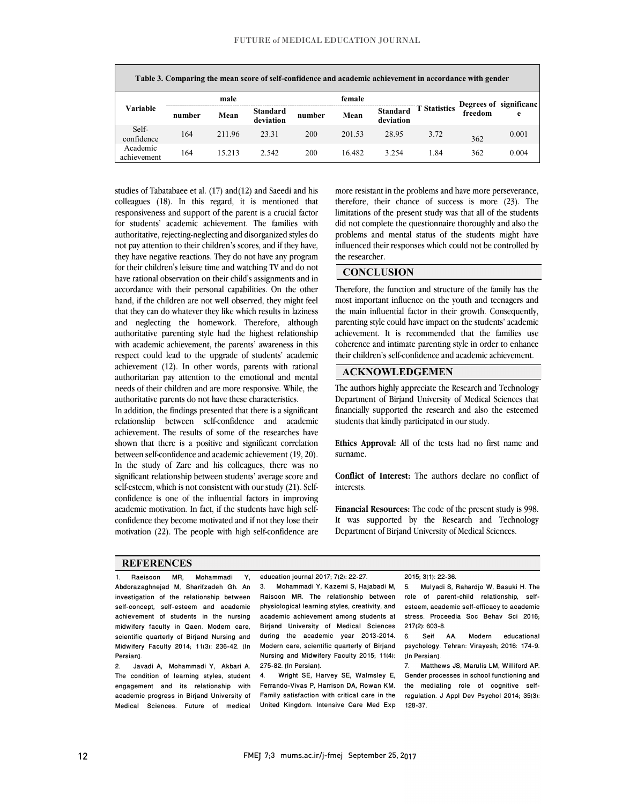$\overline{a}$ 

| Table 3. Comparing the mean score of self-confidence and academic achievement in accordance with gender |        |        |                       |        |        |                              |              |         |                        |
|---------------------------------------------------------------------------------------------------------|--------|--------|-----------------------|--------|--------|------------------------------|--------------|---------|------------------------|
| Variable                                                                                                | male   |        |                       | female |        |                              |              |         | Degrees of significanc |
|                                                                                                         | number | Mean   | Standard<br>deviation | number | Mean   | <b>Standard</b><br>deviation | T Statistics | freedom | e                      |
| Self-<br>confidence                                                                                     | 164    | 211.96 | 23.31                 | 200    | 201.53 | 28.95                        | 3.72         | 362     | 0.001                  |
| Academic<br>achievement                                                                                 | 164    | 15.213 | 2.542                 | 200    | 16.482 | 3.254                        | l.84         | 362     | 0.004                  |

 studies of Tabatabaee et al. (17) and(12) and Saeedi and his colleagues (18). In this regard, it is mentioned that responsiveness and support of the parent is a crucial factor for students' academic achievement. The families with not pay attention to their children's scores, and if they have, they have negative reactions. They do not have any program for their children's leisure time and watching TV and do not have rational observation on their child's assignments and in hand, if the children are not well observed, they might feel that they can do whatever they like which results in laziness and neglecting the homework. Therefore, although authoritative parenting style had the highest relationship respect could lead to the upgrade of students' academic achievement (12). In other words, parents with rational authoritarian pay attention to the emotional and mental needs of their children and are more responsive. While, the authoritative parents do not have these eheroateristics. authoritative, rejecting-neglecting and disorganized styles do accordance with their personal capabilities. On the other with academic achievement, the parents' awareness in this authoritative parents do not have these characteristics.

 In addition, the findings presented that there is a significant relationship between self-confidence and academic achievement. The results of some of the researches have between self-confidence and academic achievement (19, 20). In the study of Zare and his colleagues, there was no significant relationship between students' average score and self-esteem, which is not consistent with our study (21). Self- academic motivation. In fact, if the students have high self- confidence they become motivated and if not they lose their motivation (22). The people with high self-confidence are shown that there is a positive and significant correlation confidence is one of the influential factors in improving

 more resistant in the problems and have more perseverance, therefore, their chance of success is more  $(23)$ . The limitations of the present study was that all of the students did not complete the questionnaire thoroughly and also the influenced their responses which could not be controlled by İ problems and mental status of the students might have the researcher.

 $\overline{a}$ 

Ξ

I

Ξ ٦

### **CONCLUSION**

 Therefore, the function and structure of the family has the most important influence on the youth and teenagers and the main influential factor in their growth. Consequently, parenting style could have impact on the students' academic achievement. It is recommended that the families use<br>coherence and intimate parenting style in order to enhance achievement. It is recommended that the families use their children's self-confidence and academic achievement.

## **ACKNOWLEDGEMEN**

The authors highly appreciate the Research and Technology Department of Birjand University of Medical Sciences that financially supported the research and also the esteemed students that kindly participated in our study.

 $\overline{a}$  **Ethics Approval:** All of the tests had no first name and surname.

 **Conflict of Interest:** The authors declare no conflict of interests.

 **Financial Resources:** The code of the present study is 998. It was supported by the Research and Technology Department of Birjand University of Medical Sciences.

#### **REFERENCES**

1. Raeisoon MR, Mohammadi Y, Abdorazaghnejad M, Sharifzadeh Gh. An investigation of the relationship between self-concept, self-esteem and academic achievement of students in the nursing midwifery faculty in Qaen. Modern care, scientific quarterly of Birjand Nursing and Midwifery Faculty 2014; 11(3): 236-42. [In Persian].

2. Javadi A, Mohammadi Y, Akbari A. The condition of learning styles, student engagement and its relationship with academic progress in Birjand University of Medical Sciences. Future of medical

Ξ education journal 2017; 7(2): 22-27.

 3. Mohammadi Y, Kazemi S, Hajabadi M, physiological learning styles, creativity, and academic achievement among students at Birjand University of Medical Sciences<br>during the academic year 2013-2014. Modern care, scientific quarterly of Birjand Nursing and Midwifery Faculty 2015; 11(4): Raisoon MR. The relationship between Birjand University of Medical Sciences 275-82. [In Persian].<br>4. Wright SE. Ha

 4. Wright SE, Harvey SE, Walmsley E, Ferrando-Vivas P, Harrison DA, Rowan KM. Family satistaction with critical care in the<br>United Kingdom. Intensive Care Med Exp Family satisfaction with critical care in the

#### 2015; 3(1): 22-36.

 5. Mulyadi S, Rahardjo W, Basuki H. The esteem, academic self-efficacy to academic stress. Proceedia Soc Behav Sci 2016; role of parent-child relationship, self-217(2): 603-8.

educational psychology. Tehran: Virayesh; 2016: 174-9. 6. Seif AA. Modern [In Persian].

 Gender processes in school functioning and the mediating role of cognitive selfregulation. J Appl Dev Psychol 2014; 35(3):<br>199.97 7. Matthews JS, Marulis LM, Williford AP. 128-37.